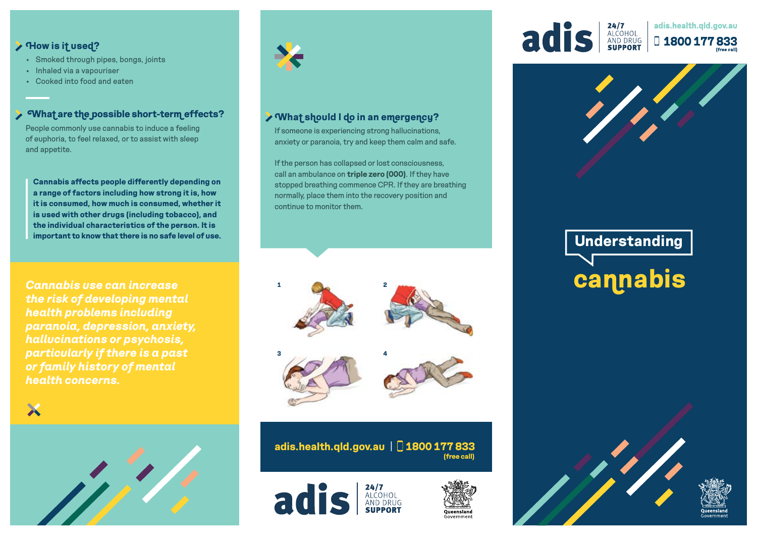# **How is it used?**

- Smoked through pipes, bongs, joints
- Inhaled via a vapouriser
- Cooked into food and eaten

# **What are the possible short-term effects?**

People commonly use cannabis to induce a feeling of euphoria, to feel relaxed, or to assist with sleep and appetite.

**Cannabis affects people differently depending on a range of factors including how strong it is, how it is consumed, how much is consumed, whether it is used with other drugs (including tobacco), and the individual characteristics of the person. It is important to know that there is no safe level of use.** 

*Cannabis use can increase the risk of developing mental health problems including paranoia, depression, anxiety, hallucinations or psychosis, particularly if there is a past or family history of mental health concerns.*

X





# **What should I do in an emergency?**

If someone is experiencing strong hallucinations, anxiety or paranoia, try and keep them calm and safe.

If the person has collapsed or lost consciousness, call an ambulance on **triple zero (000)**. If they have stopped breathing commence CPR. If they are breathing normally, place them into the recovery position and continue to monitor them.



**(free call) adis.health.qld.gov.au** | **1800 177 833**







#### 24/7<br>Alcohol<br>And Drug<br>Support adis.health.gld.gov.au adis D1800177833